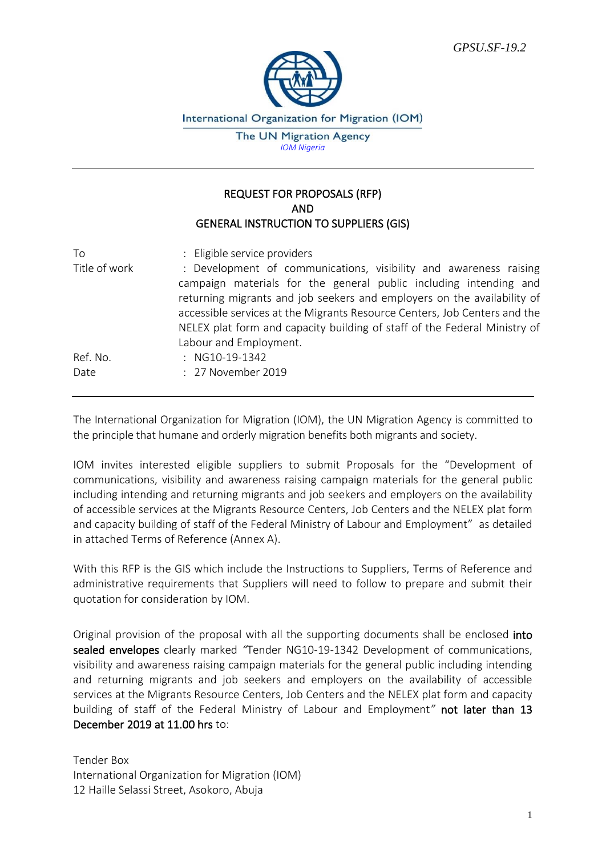

International Organization for Migration (IOM)

The UN Migration Agency *IOM Nigeria*

### REQUEST FOR PROPOSALS (RFP) AND GENERAL INSTRUCTION TO SUPPLIERS (GIS)

| To            | : Eligible service providers                                                                                                                         |
|---------------|------------------------------------------------------------------------------------------------------------------------------------------------------|
| Title of work | : Development of communications, visibility and awareness raising<br>campaign materials for the general public including intending and               |
|               | returning migrants and job seekers and employers on the availability of<br>accessible services at the Migrants Resource Centers, Job Centers and the |
|               | NELEX plat form and capacity building of staff of the Federal Ministry of                                                                            |
| Ref. No.      | Labour and Employment.<br>: NG10-19-1342                                                                                                             |
|               |                                                                                                                                                      |
| Date          | : 27 November 2019                                                                                                                                   |

The International Organization for Migration (IOM), the UN Migration Agency is committed to the principle that humane and orderly migration benefits both migrants and society.

IOM invites interested eligible suppliers to submit Proposals for the "Development of communications, visibility and awareness raising campaign materials for the general public including intending and returning migrants and job seekers and employers on the availability of accessible services at the Migrants Resource Centers, Job Centers and the NELEX plat form and capacity building of staff of the Federal Ministry of Labour and Employment" as detailed in attached Terms of Reference (Annex A).

With this RFP is the GIS which include the Instructions to Suppliers, Terms of Reference and administrative requirements that Suppliers will need to follow to prepare and submit their quotation for consideration by IOM.

Original provision of the proposal with all the supporting documents shall be enclosed into sealed envelopes clearly marked *"*Tender NG10-19-1342 Development of communications, visibility and awareness raising campaign materials for the general public including intending and returning migrants and job seekers and employers on the availability of accessible services at the Migrants Resource Centers, Job Centers and the NELEX plat form and capacity building of staff of the Federal Ministry of Labour and Employment*"* not later than 13 December 2019 at 11.00 hrs to:

Tender Box International Organization for Migration (IOM) 12 Haille Selassi Street, Asokoro, Abuja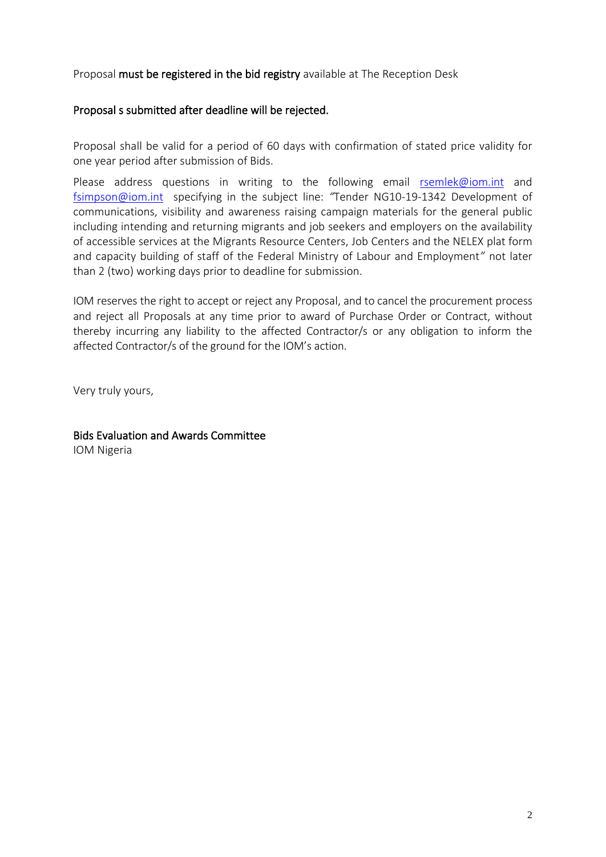Proposal must be registered in the bid registry available at The Reception Desk

# Proposal s submitted after deadline will be rejected.

Proposal shall be valid for a period of 60 days with confirmation of stated price validity for one year period after submission of Bids.

Please address questions in writing to the following email [rsemlek@iom.int](mailto:rsemlek@iom.int) and [fsimpson@iom.int](mailto:fsimpson@iom.int) specifying in the subject line: *"*Tender NG10-19-1342 Development of communications, visibility and awareness raising campaign materials for the general public including intending and returning migrants and job seekers and employers on the availability of accessible services at the Migrants Resource Centers, Job Centers and the NELEX plat form and capacity building of staff of the Federal Ministry of Labour and Employment*"* not later than 2 (two) working days prior to deadline for submission.

IOM reserves the right to accept or reject any Proposal, and to cancel the procurement process and reject all Proposals at any time prior to award of Purchase Order or Contract, without thereby incurring any liability to the affected Contractor/s or any obligation to inform the affected Contractor/s of the ground for the IOM's action.

Very truly yours,

Bids Evaluation and Awards Committee IOM Nigeria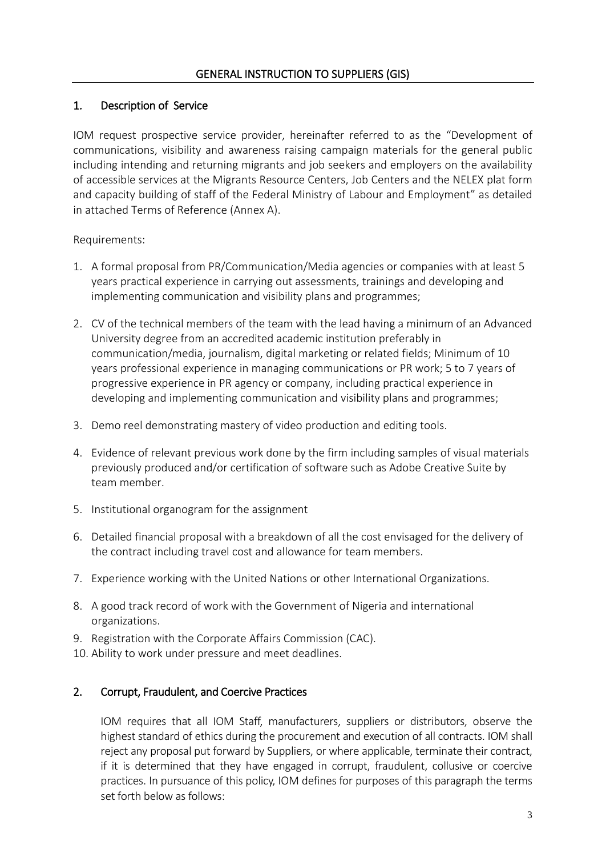## 1. Description of Service

IOM request prospective service provider, hereinafter referred to as the "Development of communications, visibility and awareness raising campaign materials for the general public including intending and returning migrants and job seekers and employers on the availability of accessible services at the Migrants Resource Centers, Job Centers and the NELEX plat form and capacity building of staff of the Federal Ministry of Labour and Employment" as detailed in attached Terms of Reference (Annex A).

Requirements:

- 1. A formal proposal from PR/Communication/Media agencies or companies with at least 5 years practical experience in carrying out assessments, trainings and developing and implementing communication and visibility plans and programmes;
- 2. CV of the technical members of the team with the lead having a minimum of an Advanced University degree from an accredited academic institution preferably in communication/media, journalism, digital marketing or related fields; Minimum of 10 years professional experience in managing communications or PR work; 5 to 7 years of progressive experience in PR agency or company, including practical experience in developing and implementing communication and visibility plans and programmes;
- 3. Demo reel demonstrating mastery of video production and editing tools.
- 4. Evidence of relevant previous work done by the firm including samples of visual materials previously produced and/or certification of software such as Adobe Creative Suite by team member.
- 5. Institutional organogram for the assignment
- 6. Detailed financial proposal with a breakdown of all the cost envisaged for the delivery of the contract including travel cost and allowance for team members.
- 7. Experience working with the United Nations or other International Organizations.
- 8. A good track record of work with the Government of Nigeria and international organizations.
- 9. Registration with the Corporate Affairs Commission (CAC).
- 10. Ability to work under pressure and meet deadlines.

### 2. Corrupt, Fraudulent, and Coercive Practices

IOM requires that all IOM Staff, manufacturers, suppliers or distributors, observe the highest standard of ethics during the procurement and execution of all contracts. IOM shall reject any proposal put forward by Suppliers, or where applicable, terminate their contract, if it is determined that they have engaged in corrupt, fraudulent, collusive or coercive practices. In pursuance of this policy, IOM defines for purposes of this paragraph the terms set forth below as follows: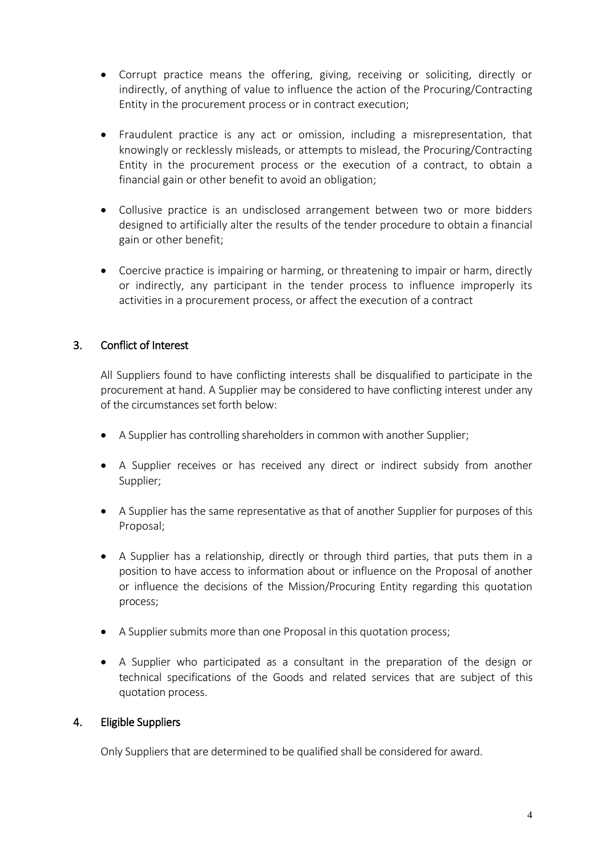- Corrupt practice means the offering, giving, receiving or soliciting, directly or indirectly, of anything of value to influence the action of the Procuring/Contracting Entity in the procurement process or in contract execution;
- Fraudulent practice is any act or omission, including a misrepresentation, that knowingly or recklessly misleads, or attempts to mislead, the Procuring/Contracting Entity in the procurement process or the execution of a contract, to obtain a financial gain or other benefit to avoid an obligation;
- Collusive practice is an undisclosed arrangement between two or more bidders designed to artificially alter the results of the tender procedure to obtain a financial gain or other benefit;
- Coercive practice is impairing or harming, or threatening to impair or harm, directly or indirectly, any participant in the tender process to influence improperly its activities in a procurement process, or affect the execution of a contract

# 3. Conflict of Interest

All Suppliers found to have conflicting interests shall be disqualified to participate in the procurement at hand. A Supplier may be considered to have conflicting interest under any of the circumstances set forth below:

- A Supplier has controlling shareholders in common with another Supplier;
- A Supplier receives or has received any direct or indirect subsidy from another Supplier;
- A Supplier has the same representative as that of another Supplier for purposes of this Proposal;
- A Supplier has a relationship, directly or through third parties, that puts them in a position to have access to information about or influence on the Proposal of another or influence the decisions of the Mission/Procuring Entity regarding this quotation process;
- A Supplier submits more than one Proposal in this quotation process;
- A Supplier who participated as a consultant in the preparation of the design or technical specifications of the Goods and related services that are subject of this quotation process.

### 4. Eligible Suppliers

Only Suppliers that are determined to be qualified shall be considered for award.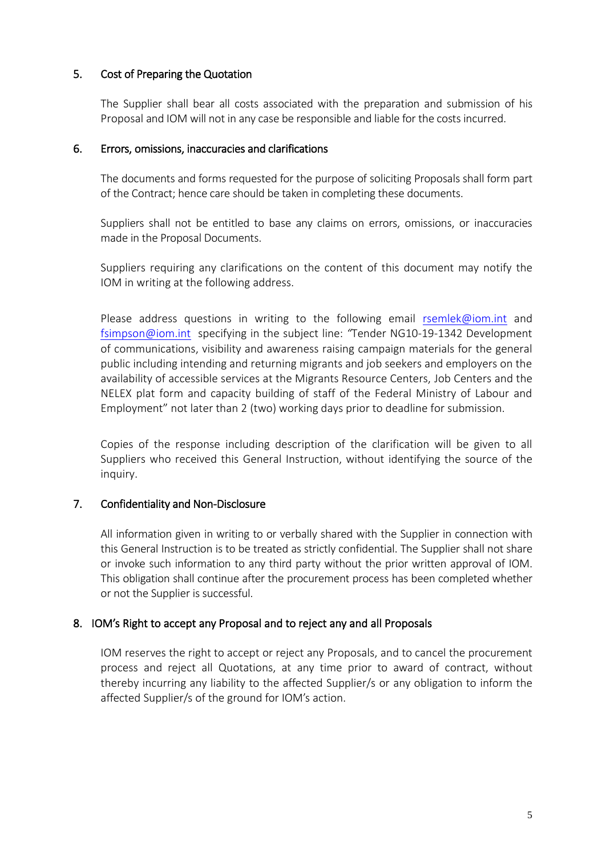### 5. Cost of Preparing the Quotation

The Supplier shall bear all costs associated with the preparation and submission of his Proposal and IOM will not in any case be responsible and liable for the costs incurred.

#### 6. Errors, omissions, inaccuracies and clarifications

The documents and forms requested for the purpose of soliciting Proposals shall form part of the Contract; hence care should be taken in completing these documents.

Suppliers shall not be entitled to base any claims on errors, omissions, or inaccuracies made in the Proposal Documents.

Suppliers requiring any clarifications on the content of this document may notify the IOM in writing at the following address.

Please address questions in writing to the following email [rsemlek@iom.int](mailto:rsemlek@iom.int) and [fsimpson@iom.int](mailto:fsimpson@iom.int) specifying in the subject line: *"*Tender NG10-19-1342 Development of communications, visibility and awareness raising campaign materials for the general public including intending and returning migrants and job seekers and employers on the availability of accessible services at the Migrants Resource Centers, Job Centers and the NELEX plat form and capacity building of staff of the Federal Ministry of Labour and Employment" not later than 2 (two) working days prior to deadline for submission.

Copies of the response including description of the clarification will be given to all Suppliers who received this General Instruction, without identifying the source of the inquiry.

### 7. Confidentiality and Non-Disclosure

All information given in writing to or verbally shared with the Supplier in connection with this General Instruction is to be treated as strictly confidential. The Supplier shall not share or invoke such information to any third party without the prior written approval of IOM. This obligation shall continue after the procurement process has been completed whether or not the Supplier is successful.

### 8. IOM's Right to accept any Proposal and to reject any and all Proposals

 IOM reserves the right to accept or reject any Proposals, and to cancel the procurement process and reject all Quotations, at any time prior to award of contract, without thereby incurring any liability to the affected Supplier/s or any obligation to inform the affected Supplier/s of the ground for IOM's action.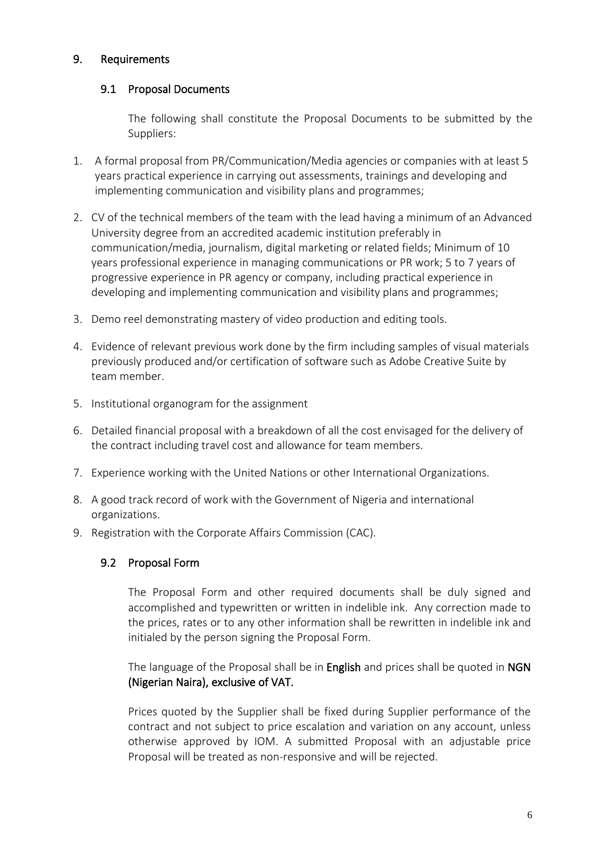# 9. Requirements

# 9.1 Proposal Documents

The following shall constitute the Proposal Documents to be submitted by the Suppliers:

- 1. A formal proposal from PR/Communication/Media agencies or companies with at least 5 years practical experience in carrying out assessments, trainings and developing and implementing communication and visibility plans and programmes;
- 2. CV of the technical members of the team with the lead having a minimum of an Advanced University degree from an accredited academic institution preferably in communication/media, journalism, digital marketing or related fields; Minimum of 10 years professional experience in managing communications or PR work; 5 to 7 years of progressive experience in PR agency or company, including practical experience in developing and implementing communication and visibility plans and programmes;
- 3. Demo reel demonstrating mastery of video production and editing tools.
- 4. Evidence of relevant previous work done by the firm including samples of visual materials previously produced and/or certification of software such as Adobe Creative Suite by team member.
- 5. Institutional organogram for the assignment
- 6. Detailed financial proposal with a breakdown of all the cost envisaged for the delivery of the contract including travel cost and allowance for team members.
- 7. Experience working with the United Nations or other International Organizations.
- 8. A good track record of work with the Government of Nigeria and international organizations.
- 9. Registration with the Corporate Affairs Commission (CAC).

### 9.2 Proposal Form

The Proposal Form and other required documents shall be duly signed and accomplished and typewritten or written in indelible ink. Any correction made to the prices, rates or to any other information shall be rewritten in indelible ink and initialed by the person signing the Proposal Form.

The language of the Proposal shall be in English and prices shall be quoted in NGN (Nigerian Naira), exclusive of VAT.

Prices quoted by the Supplier shall be fixed during Supplier performance of the contract and not subject to price escalation and variation on any account, unless otherwise approved by IOM. A submitted Proposal with an adjustable price Proposal will be treated as non-responsive and will be rejected.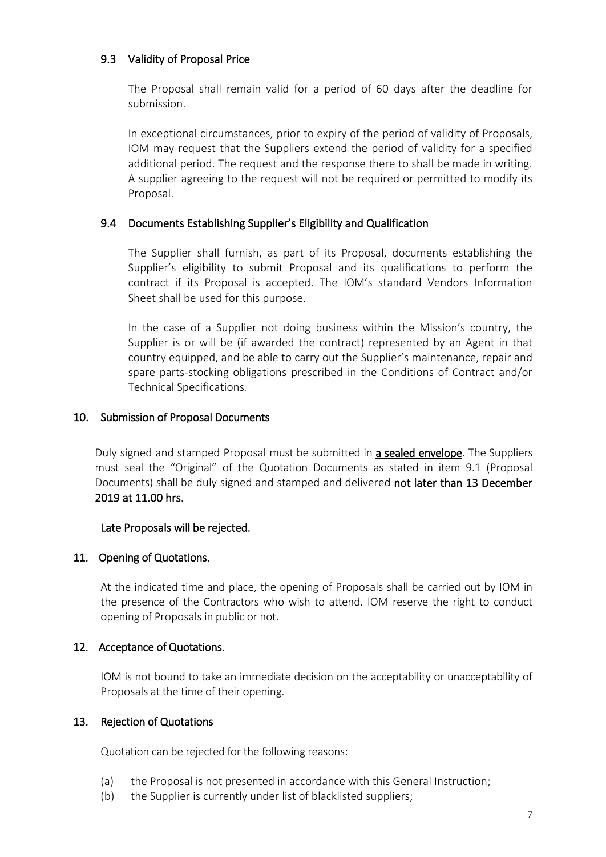# 9.3 Validity of Proposal Price

The Proposal shall remain valid for a period of 60 days after the deadline for submission.

In exceptional circumstances, prior to expiry of the period of validity of Proposals, IOM may request that the Suppliers extend the period of validity for a specified additional period. The request and the response there to shall be made in writing. A supplier agreeing to the request will not be required or permitted to modify its Proposal.

### 9.4 Documents Establishing Supplier's Eligibility and Qualification

The Supplier shall furnish, as part of its Proposal, documents establishing the Supplier's eligibility to submit Proposal and its qualifications to perform the contract if its Proposal is accepted. The IOM's standard Vendors Information Sheet shall be used for this purpose.

In the case of a Supplier not doing business within the Mission's country, the Supplier is or will be (if awarded the contract) represented by an Agent in that country equipped, and be able to carry out the Supplier's maintenance, repair and spare parts-stocking obligations prescribed in the Conditions of Contract and/or Technical Specifications*.*

#### 10. Submission of Proposal Documents

Duly signed and stamped Proposal must be submitted in a sealed envelope. The Suppliers must seal the "Original" of the Quotation Documents as stated in item 9.1 (Proposal Documents) shall be duly signed and stamped and delivered not later than 13 December 2019 at 11.00 hrs.

#### Late Proposals will be rejected.

### 11. Opening of Quotations.

At the indicated time and place, the opening of Proposals shall be carried out by IOM in the presence of the Contractors who wish to attend. IOM reserve the right to conduct opening of Proposals in public or not.

#### 12. Acceptance of Quotations.

IOM is not bound to take an immediate decision on the acceptability or unacceptability of Proposals at the time of their opening.

#### 13. Rejection of Quotations

Quotation can be rejected for the following reasons:

- (a) the Proposal is not presented in accordance with this General Instruction;
- (b) the Supplier is currently under list of blacklisted suppliers;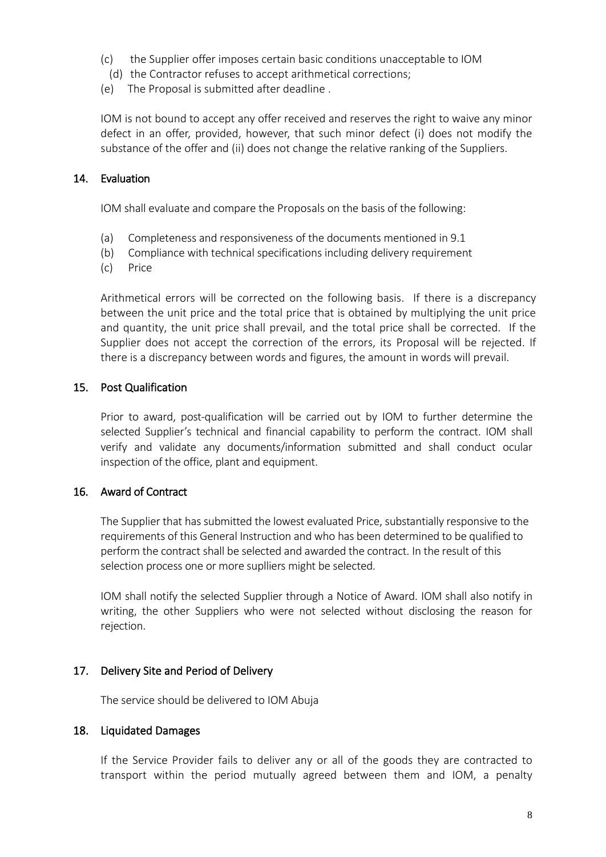- (c) the Supplier offer imposes certain basic conditions unacceptable to IOM
- (d) the Contractor refuses to accept arithmetical corrections;
- (e) The Proposal is submitted after deadline .

IOM is not bound to accept any offer received and reserves the right to waive any minor defect in an offer, provided, however, that such minor defect (i) does not modify the substance of the offer and (ii) does not change the relative ranking of the Suppliers.

#### 14. Evaluation

IOM shall evaluate and compare the Proposals on the basis of the following:

- (a) Completeness and responsiveness of the documents mentioned in 9.1
- (b) Compliance with technical specifications including delivery requirement
- (c) Price

Arithmetical errors will be corrected on the following basis. If there is a discrepancy between the unit price and the total price that is obtained by multiplying the unit price and quantity, the unit price shall prevail, and the total price shall be corrected. If the Supplier does not accept the correction of the errors, its Proposal will be rejected. If there is a discrepancy between words and figures, the amount in words will prevail.

### 15. Post Qualification

Prior to award, post-qualification will be carried out by IOM to further determine the selected Supplier's technical and financial capability to perform the contract. IOM shall verify and validate any documents/information submitted and shall conduct ocular inspection of the office, plant and equipment.

### 16. Award of Contract

The Supplier that has submitted the lowest evaluated Price, substantially responsive to the requirements of this General Instruction and who has been determined to be qualified to perform the contract shall be selected and awarded the contract. In the result of this selection process one or more suplliers might be selected.

IOM shall notify the selected Supplier through a Notice of Award. IOM shall also notify in writing, the other Suppliers who were not selected without disclosing the reason for rejection.

### 17. Delivery Site and Period of Delivery

The service should be delivered to IOM Abuja

### 18. Liquidated Damages

If the Service Provider fails to deliver any or all of the goods they are contracted to transport within the period mutually agreed between them and IOM, a penalty